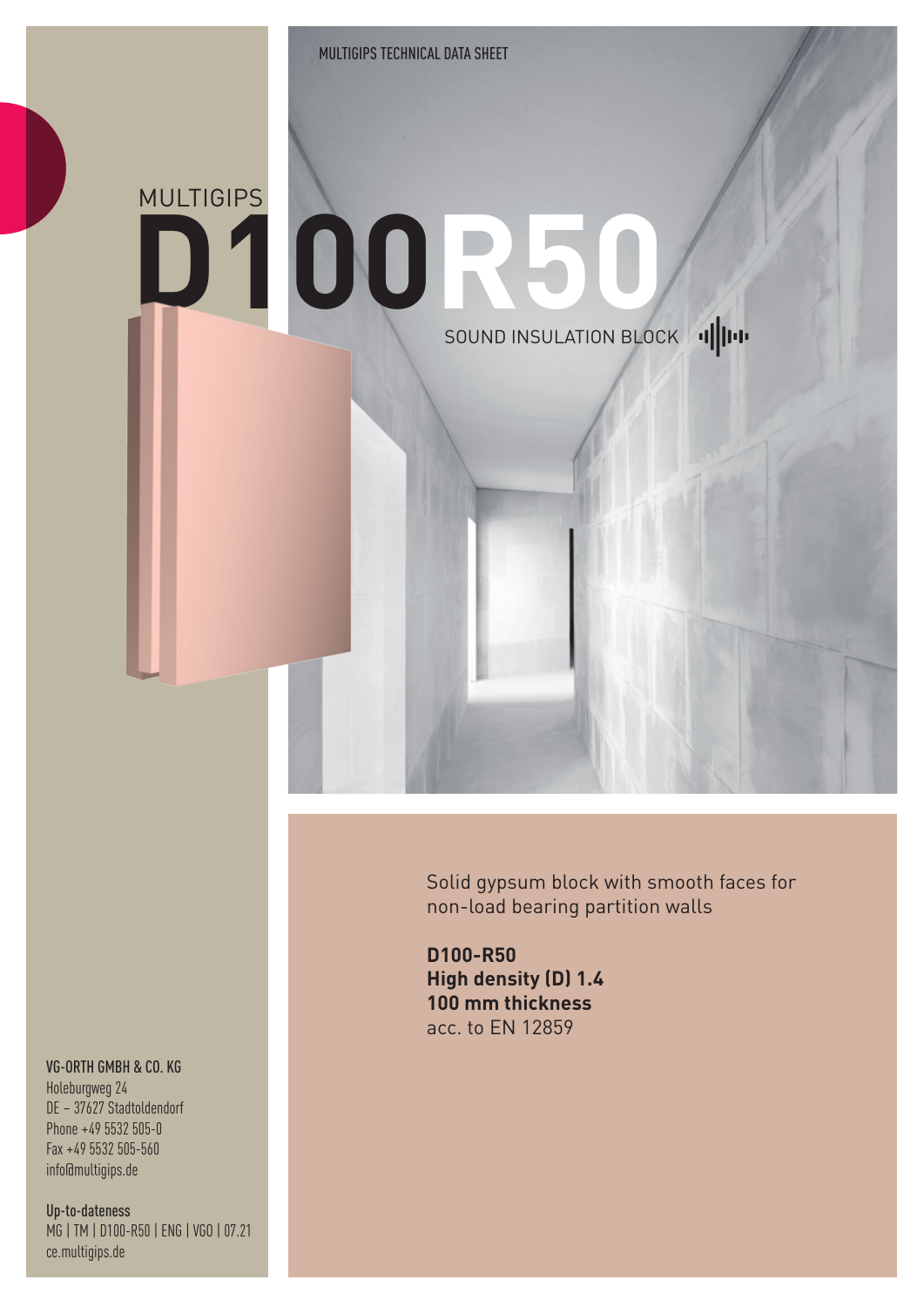## **D100R50 MULTIGIPS** SOUND INSULATION BLOCK 1

Solid gypsum block with smooth faces for non-load bearing partition walls

**D100-R50 High density (D) 1.4 100 mm thickness** acc. to EN 12859

## VG-ORTH GMBH & CO. KG

Holeburgweg 24 DE – 37627 Stadtoldendorf Phone +49 5532 505-0 Fax +49 5532 505-560 info@multigips.de

Up-to-dateness MG | TM | D100-R50 | ENG | VGO | 07.21 ce.multigips.de